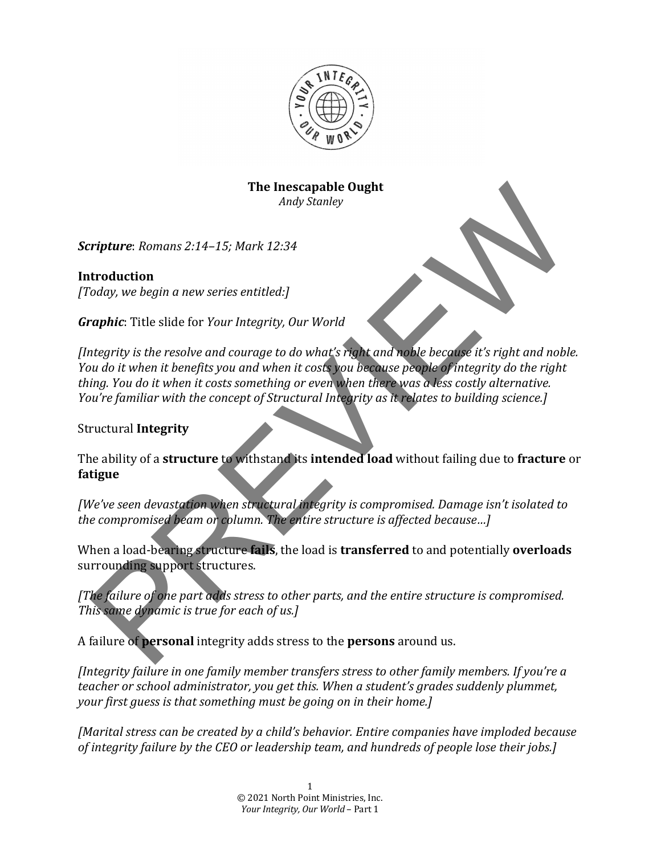

#### **The Inescapable Ought** *Andy Stanley*

**Scripture**: Romans 2:14-15; Mark 12:34

**Introduction** *[Today, we begin a new series entitled:]* 

*Graphic*: Title slide for *Your Integrity, Our World* 

*[Integrity is the resolve and courage to do what's right and noble because it's right and noble. You do it when it benefits you and when it costs you because people of integrity do the right thing.* You do it when it costs something or even when there was a less costly alternative. *You're familiar with the concept of Structural Integrity as it relates to building science.]* The Insection and the structure and the particular structure is opportune to the structure of the particular team of the structure of the particular team of the particle of the resolve and courage to do what's right and no

**Structural Integrity** 

The ability of a **structure** to withstand its **intended load** without failing due to fracture or **fatigue** 

*[We've seen devastation when structural integrity is compromised. Damage isn't isolated to the compromised beam or column. The entire structure is affected because...]* 

When a load-bearing structure **fails**, the load is **transferred** to and potentially **overloads** surrounding support structures.

*[The failure of one part adds stress to other parts, and the entire structure is compromised. This same dynamic is true for each of us.]* 

A failure of **personal** integrity adds stress to the **persons** around us.

*[Integrity failure in one family member transfers stress to other family members. If you're a teacher* or school administrator, you get this. When a student's grades suddenly plummet, *your first guess is that something must be going on in their home.]* 

*[Marital stress can be created by a child's behavior. Entire companies have imploded because of integrity failure by the CEO or leadership team, and hundreds of people lose their jobs.]*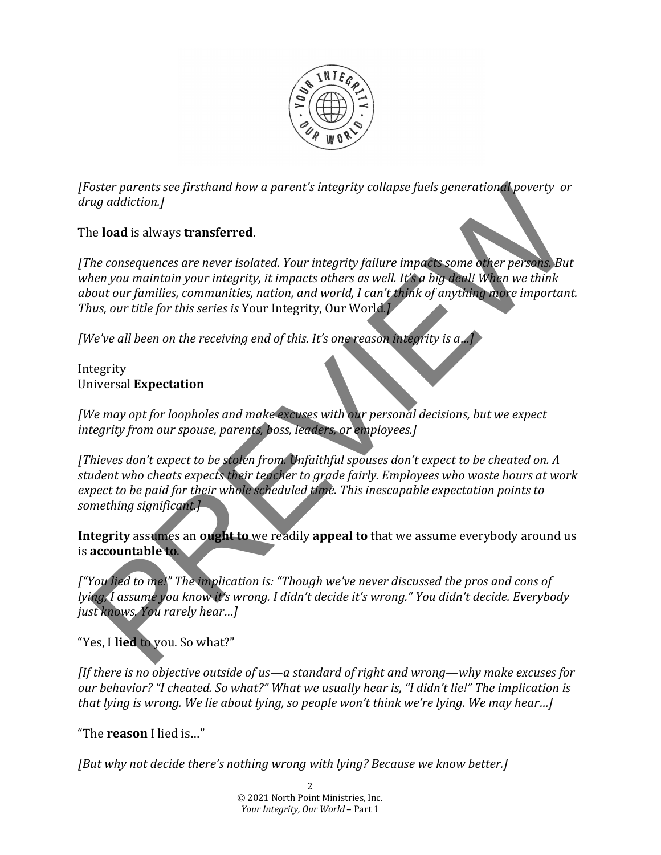

*[Foster parents see firsthand how a parent's integrity collapse fuels generational poverty or drug addiction.]*

## The **load** is always **transferred**.

*[The consequences are never isolated. Your integrity failure impacts some other persons. But* when you maintain your integrity, it impacts others as well. It's a big deal! When we think *about our families, communities, nation, and world, I can't think of anything more important. Thus, our title for this series is* Your Integrity, Our World.]

*[We've all been on the receiving end of this. It's one reason integrity is a...*]

#### Integrity Universal **Expectation**

*[We may opt for loopholes and make excuses with our personal decisions, but we expect* integrity from our spouse, parents, boss, leaders, or employees.]

*[Thieves don't expect to be stolen from. Unfaithful spouses don't expect to be cheated on. A student who cheats expects their teacher to grade fairly. Employees who waste hours at work expect to be paid for their whole scheduled time. This inescapable expectation points to something significant.]* oster parents see firsthand how a parent's integrity collapse fuels generational poverty or<br>and is always transferred.<br>the consequences are never isolated. Your integrity failure impacts some other persons But<br>hen you main

**Integrity** assumes an ought to we readily appeal to that we assume everybody around us is **accountable** to.

*["You lied to me!" The implication is: "Though we've never discussed the pros and cons of lying, I* assume you know it's wrong. I didn't decide it's wrong." You didn't decide. Everybody *just knows. You rarely hear…]*

"Yes, I lied to you. So what?"

*[If there is no objective outside of us—a standard of right and wrong—why make excuses for our behavior?* "I cheated. So what?" What we usually hear is, "I didn't lie!" The implication is *that lying is wrong. We lie about lying, so people won't think we're lying. We may hear...]* 

"The **reason** I lied is…"

*[But why not decide there's nothing wrong with lying? Because we know better.]*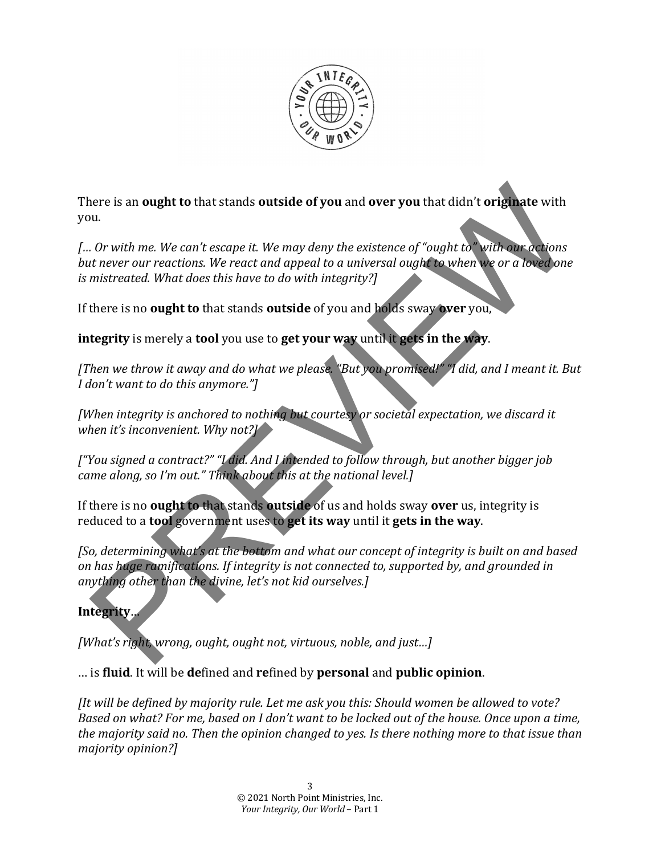

There is an ought to that stands outside of you and over you that didn't originate with you. 

*[… Or with me. We can't escape it. We may deny the existence of "ought to" with our actions but never our reactions. We react and appeal to a universal ought to when we or a loved one is* mistreated. What does this have to do with integrity?]

If there is no **ought to** that stands **outside** of you and holds sway **over** you,

**integrity** is merely a **tool** you use to **get your** way until it gets in the way.

*[Then we throw it away and do what we please.* "But you promised!" "I did, and I meant it. But *I* don't want to do this anymore."]

*[When integrity is anchored to nothing but courtesy or societal expectation, we discard it when it's inconvenient.* Why not?]

*["You signed a contract?" "I did. And I intended to follow through, but another bigger job came along, so I'm out."* Think about this at the national level.]

If there is no **ought to** that stands **outside** of us and holds sway **over** us, integrity is reduced to a **tool** government uses to get its way until it gets in the way.

*[So, determining what's at the bottom and what our concept of integrity is built on and based on* has huge ramifications. If integrity is not connected to, supported by, and grounded in anything other than the divine, let's not kid ourselves.] nere is an **ought to that** stands **outside of you** and **over you** that didn't **originate** with<br>
N. Or with me. We can't excape it. We may deny the existence of "ought to with once we can ent never our reactions. We react a

# **Integrity**…

*[What's right, wrong, ought, ought not, virtuous, noble, and just...]* 

… is **fluid**. It will be **de**fined and **re**fined by **personal** and **public opinion**. 

*[It will be defined by majority rule. Let me ask you this: Should women be allowed to vote? Based on what? For me, based on I don't want to be locked out of the house. Once upon a time, the majority said no. Then the opinion changed to yes. Is there nothing more to that issue than majority opinion?]*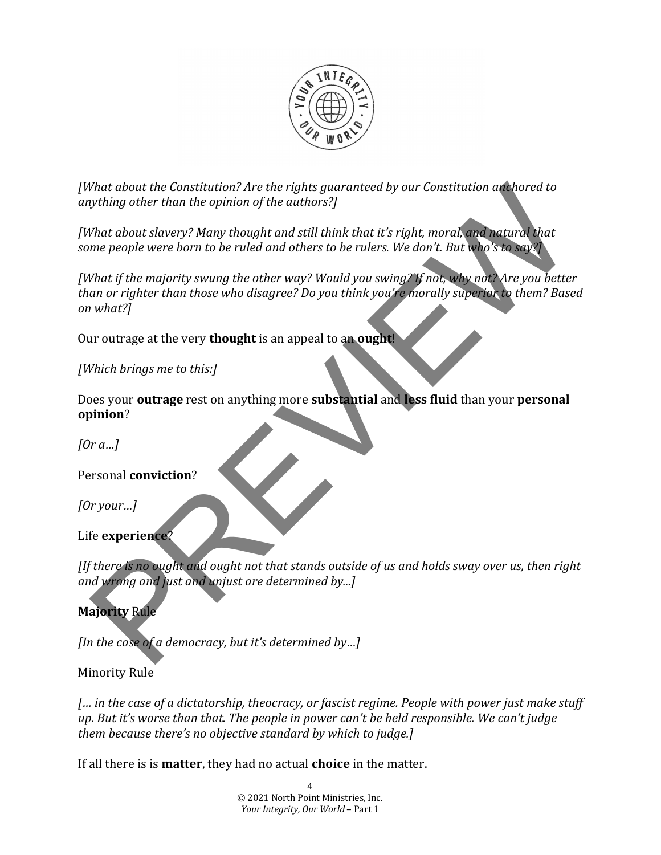

*[What about the Constitution? Are the rights guaranteed by our Constitution anchored to anything other than the opinion of the authors?]*

*[What about slavery? Many thought and still think that it's right, moral, and natural that some people were born to be ruled and others to be rulers. We don't. But who's to say?]* 

*[What if the majority swung the other way? Would you swing?* If not, why not? Are you better than or righter than those who disagree? Do you think you're morally superior to them? Based *on what?]* What about the Constitution? Are the rights guaranteed by our Constitution at hored to<br>tything other than the opinion of the authors?]<br>That about slowery Many thought and still think that it's right, moral, and natural th

Our outrage at the very **thought** is an appeal to an ought!

*[Which brings me to this:]* 

Does your **outrage** rest on anything more **substantial** and less fluid than your personal **opinion**?

*[Or a…]*

Personal **conviction**?

*[Or your…]*

Life **experience**?

*[If there is no ought and ought not that stands outside of us and holds sway over us, then right and* wrong and just and unjust are determined by...]

# **Majority** Rule

*[In the case of a democracy, but it's determined by...]* 

# Minority Rule

*[… in the case of a dictatorship, theocracy, or fascist regime. People with power just make stuff up.* But it's worse than that. The people in power can't be held responsible. We can't judge *them because there's no objective standard by which to judge.]* 

If all there is is **matter**, they had no actual **choice** in the matter.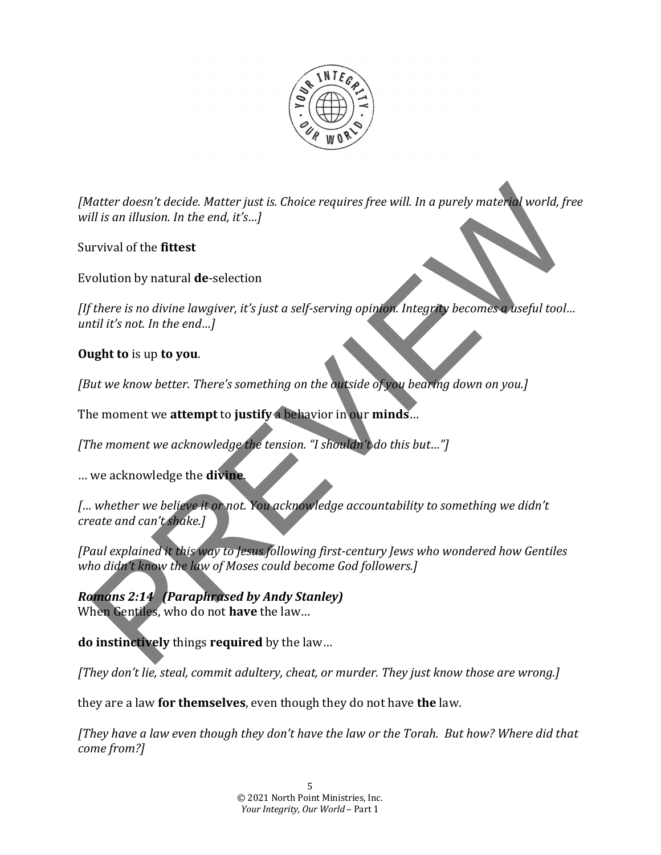

*[Matter doesn't decide. Matter just is. Choice requires free will. In a purely material world, free will is an illusion. In the end, it's...]* facter doesn't decide. Matter just is Choice requires free will. In a purely material world, free ill is an illusion. In the end, it's...]<br>In is an illusion. In the end, it's...]<br>There is no divine lawgiver, it's just a se

Survival of the **fittest** 

Evolution by natural **de**-selection

*[If there is no divine lawgiver, it's just a self-serving opinion. Integrity becomes a useful tool... until it's not. In the end...]* 

### **Ought to** is up to you.

*[But we know better. There's something on the outside of you bearing down on you.]* 

The moment we **attempt** to **justify** a behavior in our **minds**...

*[The moment we acknowledge the tension.* "I shouldn't do this but..."]

… we acknowledge the **divine**.

*[… whether we believe it or not. You acknowledge accountability to something we didn't create and can't shake.]*

*[Paul explained it this way to Jesus following first-century Jews who wondered how Gentiles who didn't know the law of Moses could become God followers.]* 

*Romans 2:14 (Paraphrased by Andy Stanley)* When Gentiles, who do not have the law...

**do instinctively** things **required** by the law...

*[They don't lie, steal, commit adultery, cheat, or murder. They just know those are wrong.]* 

they are a law **for themselves**, even though they do not have **the** law.

*[They have a law even though they don't have the law or the Torah. But how? Where did that come from?]*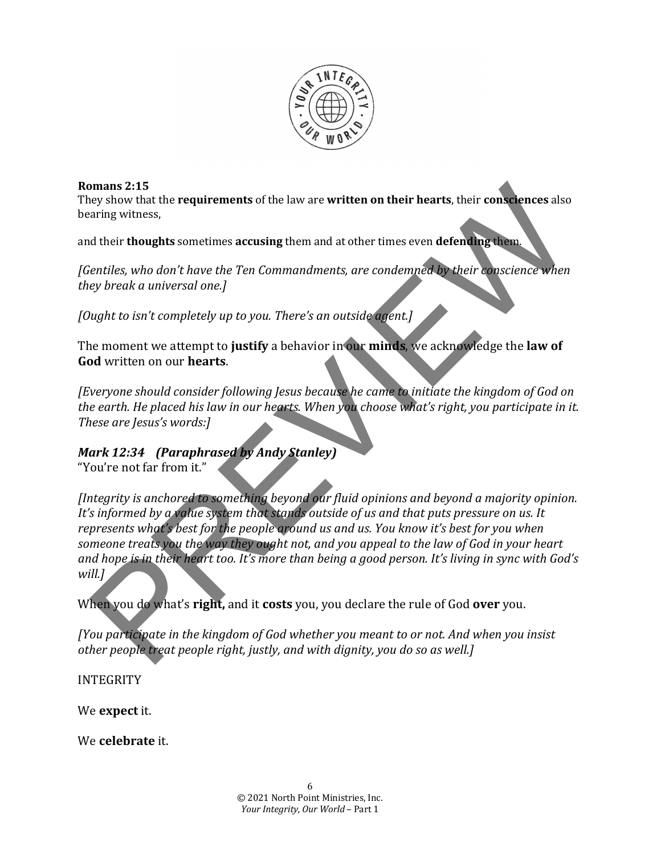

#### **Romans 2:15**

They show that the **requirements** of the law are **written on their hearts**, their **consciences** also bearing witness,

and their **thoughts** sometimes **accusing** them and at other times even **defending** them.

[Gentiles, who don't have the Ten Commandments, are condemned by their conscience when *they break a universal one.]*

*[Ought to isn't completely up to you. There's an outside agent.]* 

The moment we attempt to justify a behavior in our minds, we acknowledge the law of **God** written on our **hearts**.

*[Everyone should consider following Jesus because he came to initiate the kingdom of God on the earth.* He placed his law in our hearts. When you choose what's right, you participate in it. *These are Jesus's words:]*

## *Mark* 12:34 *(Paraphrased by Andy Stanley)*

"You're not far from it."

*[Integrity is anchored to something beyond our fluid opinions and beyond a majority opinion. It's* informed by a *value system that stands* outside of us and that puts pressure on us. It *represents* what's best for the people around us and us. You know it's best for you when someone treats you the way they ought not, and you appeal to the law of God in your heart and hope is in their heart too. It's more than being a good person. It's living in sync with God's *will.]* mans 2:15<br>
wey show that the requirements of the law are written on their hearts, their consciences also<br>
aring witness,<br>
d their thoughts sometimes accusing them and at other times even defending them<br>
erailies, who don't

When you do what's **right**, and it costs you, you declare the rule of God over you.

*[You participate in the kingdom of God whether you meant to or not. And when you insist other people treat people right, justly, and with dignity, you do so as well.]* 

INTEGRITY

We **expect** it.

We **celebrate** it.